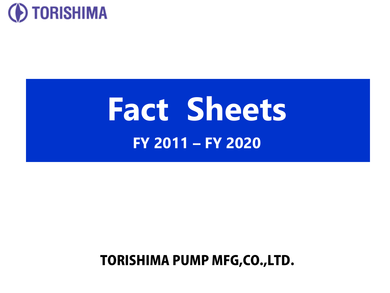

# **Fact Sheets FY 2011 – FY 2020**

## TORISHIMA PUMP MFG,CO.,LTD.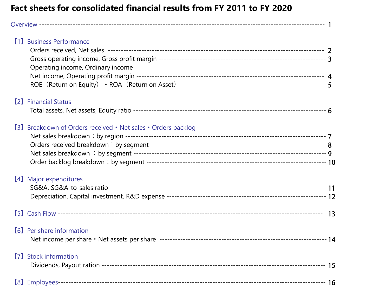#### **Fact sheets for consolidated financial results from FY 2011 to FY 2020**

| [1] Business Performance<br>Operating income, Ordinary income |  |
|---------------------------------------------------------------|--|
| <b>[2] Financial Status</b>                                   |  |
| [3] Breakdown of Orders received • Net sales • Orders backlog |  |
| [4] Major expenditures                                        |  |
|                                                               |  |
| <b>(6)</b> Per share information                              |  |
| [7] Stock information                                         |  |
|                                                               |  |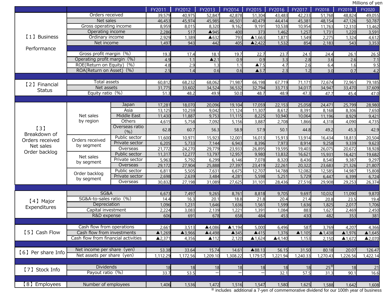FY2011 FY2012 FY2013 FY2014 FY2015 FY2016 FY2017 FY2018 FY2019 FY2020 【1】Business Performance Orders received 39,579 40,975 52,847 42,878 51,304 43,483 42,233 51,768 48,824 49,055 Net sales 46,453 45,974 45,985 46,501 40,479 44,414 45,381 48,154 47,126 50,787 Gross operating income (8.959 8.015 8.320 9.162 9.191 10.538 10.954 11.763 12.310 13.462 Operating income 2,286 517 ▲945 400 373 1,462 1,257 1,731 1,220 3,591<br>1.959 0rdinary income 2,929 1,389 ▲632 793 ▲1.663 1.871 1.549 2,275 1.324 4.612 Ordinary income | 2,929 1,389 ▲632 793 ▲1,663 1,871 1,549 2,275 1,324 4,612 Net income 1,497 943 442 405 ▲2,422 1,532 854 2,183 543 3,353 Gross profit margin(%) 19.3 17.4 18.1 19.7 22.7 23.7 24.1 24.4 26.1 26.5 Operating profit margin(%) 4.9 1.1 ▲2.1 0.9 0.9 3.3 2.8 3.6 2.6 7.1 ROE(Return on Equity)(%) 4.8 2.9 1.3 1.1 ▲7.5 4.7 2.6 6.4 1.6 9.5 ROA(Return on Asset) (%). 【2】Financial **Status** Total assets 60,812 68,232 68,062 71,987 66,198 67,719 71,171 72,674 72,961 79,185 Net assets 31,775 33,602 34,524 36,532 32,794 33,713 34,017 34,947 33,470 37,609 Equity ratio(%) 51.3 48.2 49.9 50.0 48.7 48.9 47.3 47.7 45.4 47.0 【3】 Breakdown of Orders received Net sales Order backlog Net sales by region Japan 17,281 18,070 20,096 19,104 17,059 22,153 25,058 24,471 25,799 28,980 Asia 13,125 10,259 9,042 11,124 11,307 8,612 8,391 8,168 8,306 7,650 Middle East 11,430 11,887 9,753 11,115 8,225 10,940 10,064 11,196 8,929 9,421 Others 4,615 5,758 7,092 5,156 3,887 2,708 1,866 4,318 4,090 4,735 Overseas ratio<br>(%)  $(0, 6)$  62.8 60.7 56.3 58.9 57.9 50.1 44.8 49.2 45.3 42.9 Orders received by segment Public sector 11,600 10,971 15,923 12,001 16,013 15,913 13,914 16,434 18,813 20,504 Private sector 6,205 5,733 7,144 6,943 8,396 7,973 8,914 9,258 9,339 9,623 Overseas 21,772 24,270 29,779 23,933 26,895 19,595 19,403 26,075 20,672 18,928 Net sales by segment Public sector 11,317 12,277 13,797 12,957 9,980 13,832 16,621 15,931 16,421 19,682 Private sector 5,963 5,792 6,299 6,146 7,078 8,320 8,436 8,540 9,387 9,297 Overseas 29,172 27,904 25,888 27,397 23,419 22,261 20,322 23,683 21,326 21,807 Order backlog by segment Public sector | 6,811 5,505 7,631 6,675 12,707 14,788 12,082 12,585 14,987 15,808 Private sector 2,698 2,639 3,484 4,281 5,598 5,251 5,729 6,447 6,399 6,724 Overseas | 30,832 27,198 31,089 27,625 31,101| 28,436 27,516 29,908 29,253 26,374 【4】Major Expenditures SG&A 6,673 7,497 9,265 8,761 8,818 9,705 9,697 10,032 11,090 9,870 SG&A-to-sales ratio(%) 11.4 16.3 20.1 18.8 21.8 20.4 21.4 20.8 23.5 19.4<br>Depreciation 1.096 1.231 1.646 1.636 1.561 1.599 1.636 1.825 2.017 1.706 Depreciation 1,096 1,231 1,646 1,636 1,561 1,599 1,636 1,825 2,017 1,706 Capital investment 2,224 3,083 2,139 1,221 1,391 1,084 883 1,627 2,469 2,450 R&D expense 606 691 678 658 484 453 430 482 353 381 【5】Cash Flow Cash flow from operations  $\begin{array}{|c|c|c|c|c|c|c|c|c|}\n\hline\n2,661 & 3,513 & 4,086 & 1,194 & 5,000 & 6,496 & 587 & 3,769 & 4,207 & 4,366 \\
\hline\n\end{array}$ Cash flow from investments  $\triangle$ 1,269  $\triangle$ 3,966  $\triangle$ 4,498  $\triangle$ 345  $\triangle$ 415 1,376  $\triangle$ 1,105  $\triangle$ 1,438  $\triangle$ 1,976  $\triangle$ 1,645<br>sh flow from financial activities  $\triangle$ 2,371 4,356  $\triangle$ 112 2,120  $\triangle$ 1,624  $\triangle$ 4,140 1,153 2,150  $\triangle$ 1, Cash flow from financial activities 【6】Per share Info Net income per share(yen) 53.38 33.64 15.74 14.61 ▲88.13 56.15 31.50 80.18 20.07 126.47 Net assets per share (yen) 1,112.29 1,172.56 1,209.10 1,308.22 1,179.57 1,221.94 1,240.33 1,270.43 1,226.56 1,422.14 [7] Stock Info Dividends 18 18 18 18 18 18 18 25<sup>\*</sup> 18 21<br>[7] Stock Info Davout ratio (%) Payout ratio(%) | 33.7 53.5 一| 一| 32.1| 57.5| 31.3| 90.1| 16.6 【8】Employees Number of employees 1,406 1,536 1,472 1,516 1,547 1,580 1,625 1,588 1.642 1,608

※ includes additional a 7-yen of commemorative dividend for our 100th year of business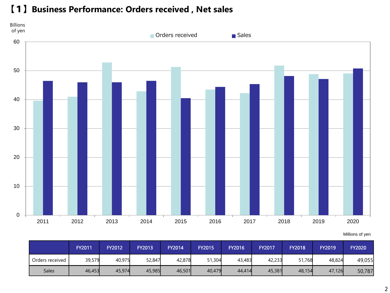#### 【1】**Business Performance: Orders received , Net sales**



|                 | <b>FY2011</b> | FY2012 | <b>FY2013</b> | <b>FY2014</b> | FY2015 | <b>FY2016</b> | FY2017 | FY2018 | <b>FY2019</b> | <b>FY2020</b> |
|-----------------|---------------|--------|---------------|---------------|--------|---------------|--------|--------|---------------|---------------|
| Orders received | 39,579        | 40,975 | 52,847        | 42,878        | 51,304 | 43,483        | 42,233 | 51,768 | 48,824        | 49,055        |
| <b>Sales</b>    | 46,453        | 45,974 | 45,985        | 46,501        | 40,479 | 44,414        | 45,381 | 48,154 | 47,126        | 50,787        |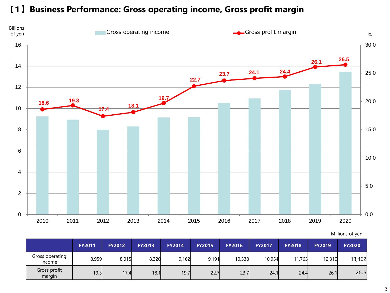#### 【1】**Business Performance: Gross operating income, Gross profit margin**



|  |  | Millions of yen |  |  |
|--|--|-----------------|--|--|
|--|--|-----------------|--|--|

|                           | <b>FY2011</b> | <b>FY2012</b> | <b>FY2013</b> | <b>FY2014</b> | <b>FY2015</b> | <b>FY2016</b> | <b>FY2017</b> | <b>FY2018</b> | <b>FY2019</b> | <b>FY2020</b> |
|---------------------------|---------------|---------------|---------------|---------------|---------------|---------------|---------------|---------------|---------------|---------------|
| Gross operating<br>income | 8,959         | 8,015         | 8,320         | 9,162         | 9,191         | 10,538        | 10,954        | 11.763        | 12,310        | 13,462        |
| Gross profit<br>margin    | 19.3          | 17.4          | 18.1          | 19.7          | 22.7          | 23.7          | 24.1          | 24.4          | 26.1          | 26.5          |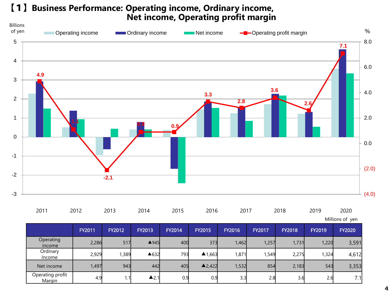#### 【1】**Business Performance: Operating income, Ordinary income, Net income, Operating profit margin**



| 2011 | 2012 | 2013 | 2014 | 2015 | 2016 | 2017 | 2018 | 2019    | 2020 |
|------|------|------|------|------|------|------|------|---------|------|
|      |      | ____ |      | ____ |      |      |      |         |      |
|      |      |      |      |      |      |      |      | $    -$ |      |

Millions of yen

|                            | <b>FY2011</b> | <b>FY2012</b> | <b>FY2013</b>   | <b>FY2014</b> | <b>FY2015</b>     | <b>FY2016</b> | <b>FY2017</b> | <b>FY2018</b> | <b>FY2019</b> | <b>FY2020</b> |
|----------------------------|---------------|---------------|-----------------|---------------|-------------------|---------------|---------------|---------------|---------------|---------------|
| Operating<br>income        | 2,286         | 517           | $\triangle$ 945 | 400           | 373               | 1,462         | 1,257         | 1,731         | 1,220         | 3,591         |
| Ordinary<br>Income         | 2,929         | 1,389         | ▲632            | 793           | $\triangle$ 1,663 | 1,871         | 1,549         | 2,275         | 1,324         | 4,612         |
| Net income                 | 1,497         | 943           | 442             | 405           | $\triangle$ 2,422 | 1,532         | 854           | 2,183         | 543           | 3,353         |
| Operating profit<br>Margin | 4.9           | 1.1           | $\triangle$ 2.1 | 0.9           | 0.9               | 3.3           | 2.8           | 3.6           | 2.6           | 7.1           |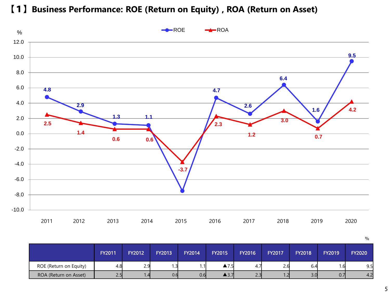【1】**Business Performance: ROE (Return on Equity) , ROA (Return on Asset)**



|                        | <b>FY2011</b>    | <b>FY2012</b>  | <b>FY2013</b> | <b>FY2014</b> | FY2015                     | <b>FY2016</b> | <b>FY2017</b> | <b>FY2018</b> | <b>FY2019</b> | <b>FY2020</b> |
|------------------------|------------------|----------------|---------------|---------------|----------------------------|---------------|---------------|---------------|---------------|---------------|
| ROE (Return on Equity) | 4.8              | 2.9            | ر             | 1.11          | ▲ 7<br>- 1.J               | 4.7           | 2.6           | 6.4           | . 6           | 9.5           |
| ROA (Return on Asset)  | <b>จฉ</b><br>ر . | $\overline{4}$ | 0.6           | 0.6           | $\blacktriangle$ 3. $\ell$ | つつ<br>۷.۰     |               | 3.0           | 0.71          | 4.2           |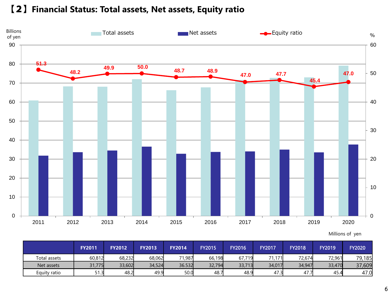#### 【2】**Financial Status: Total assets, Net assets, Equity ratio**



|              | <b>FY2011</b> | <b>FY2012</b> | <b>FY2013</b> | <b>FY2014</b> | <b>FY2015</b> | <b>FY2016</b> | FY2017 | <b>FY2018</b> | <b>FY2019</b> | <b>FY2020</b> |
|--------------|---------------|---------------|---------------|---------------|---------------|---------------|--------|---------------|---------------|---------------|
| Total assets | 60,812        | 68,232        | 68,062        | 71,987        | 66,198        | 67,719        | 71,171 | 72,674        | 72,961        | 79,185        |
| Net assets   | 31,775        | 33,602        | 34,524        | 36.532        | 32,794        | 33,713        | 34,017 | 34,947        | 33,470        | 37,609        |
| Equity ratio | 51.3          | 48.2          | 49.9          | 50.0          | 48.7          | 48.9          | 3.47   | 47.7          | 45.4          | 47.0          |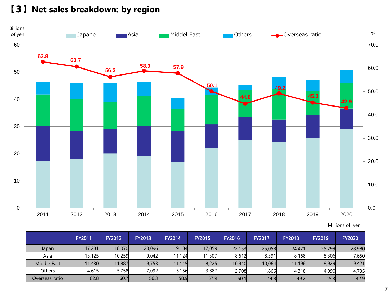【3】**Net sales breakdown: by region**



Millions of yen

|                    | <b>FY2011</b> | <b>FY2012</b> | FY2013 | <b>FY2014</b> | <b>FY2015</b> | <b>FY2016</b> | <b>FY2017</b> | <b>FY2018</b> | <b>FY2019</b> | <b>FY2020</b> |
|--------------------|---------------|---------------|--------|---------------|---------------|---------------|---------------|---------------|---------------|---------------|
| Japan              | 17,281        | 18,070        | 20,096 | 19,104        | 17,059        | 22,153        | 25,058        | 24,471        | 25,799        | 28,980        |
| Asia               | 13,125        | 10,259        | 9,042  | 11.124        | 11,307        | 8,612         | 8,391         | 8,168         | 8,306         | 7,650         |
| <b>Middle East</b> | 11,430        | 11,887        | 9,753  | 11,115        | 8,225         | 10,940        | 10,064        | 11,196        | 8,929         | 9,421         |
| Others             | 4,615         | 5,758         | 7,092  | 5,156         | 3,887         | 2,708         | 0.866         | 4,318         | 4,090         | 4,735         |
| Overseas ratio     | 62.8          | 60.7          | 56.3   | 58.9          | 57.9          | 50.1          | 44.8          | 49.2          | 45.3          | 42.9          |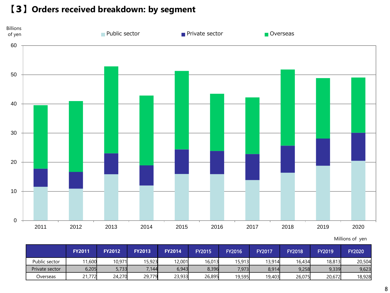【3】**Orders received breakdown: by segment**



|                | <b>FY2011</b> | <b>FY2012</b> | <b>FY2013</b> | <b>FY2014</b> | <b>FY2015</b> | <b>FY2016</b> | <b>FY2017</b> | <b>FY2018</b> | <b>FY2019</b> | <b>FY2020</b> |
|----------------|---------------|---------------|---------------|---------------|---------------|---------------|---------------|---------------|---------------|---------------|
| Public sector  | 1,600         | 10,971        | 15,923        | 12,001        | 16,013        | 15,913        | 13,914        | 16.434        | 18,813        | 20,504        |
| Private sector | 6,205         | 5,733         | 7,144         | 6,943         | 8,396         | 7,973         | 8,914         | 9,258         | 9,339         | 9,623         |
| Overseas       | ,772          | 24,270        | 29,779        | 23,933        | 26,895        | 19,595        | 19,403        | 26,075        | 20,672        | 18,928        |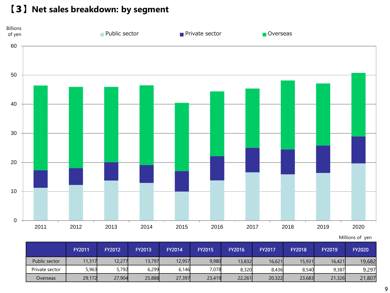【3】**Net sales breakdown: by segment**



|                | <b>FY2011</b> | <b>FY2012</b> | <b>FY2013</b> | <b>FY2014</b> | <b>FY2015</b> | <b>FY2016</b> | FY2017 | <b>FY2018</b> | <b>FY2019</b> | <b>FY2020</b> |
|----------------|---------------|---------------|---------------|---------------|---------------|---------------|--------|---------------|---------------|---------------|
| Public sector  | 11,317        | 12,277        | 13,797        | 12,957        | 9,980         | 13,832        | 16,621 | 15,931        | 16.421        | 19,682        |
| Private sector | 5,963         | 5,792         | 6,299         | 6,146         | 7,078         | 8,320         | 8,436  | 8.540         | 9,387         | 9,297         |
| Overseas       | 29,172        | 27,904        | 25,888        | 27,397        | 23,419        | 22,261        | 20,322 | 23,683        | 21,326        | 21,807        |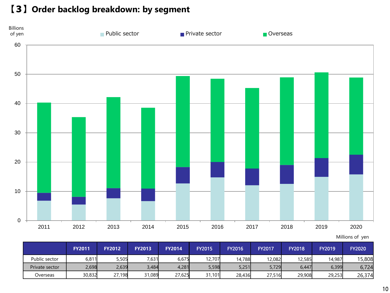【3】**Order backlog breakdown: by segment**



|                | <b>FY2011</b> | <b>FY2012</b> | <b>FY2013</b> | <b>FY2014</b> | <b>FY2015</b> | <b>FY2016</b> | <b>FY2017</b> | <b>FY2018</b> | <b>FY2019</b> | <b>FY2020</b> |
|----------------|---------------|---------------|---------------|---------------|---------------|---------------|---------------|---------------|---------------|---------------|
| Public sector  | 6,811         | 5,505         | 7,631         | 6,675         | 12.707        | 14,788        | 12,082        | 12,585        | 14,987        | 15,808        |
| Private sector | 2,698         | 2,639         | 3,484         | 4,281         | 5,598         | 5,251         | 5,729         | 6,447         | 6,399         | 6,724         |
| Overseas       | 30,832        | 27,198        | 31,089        | 27,625        | 31.101        | 28,436        | 27,516        | 29,908        | 29,253        | 26,374        |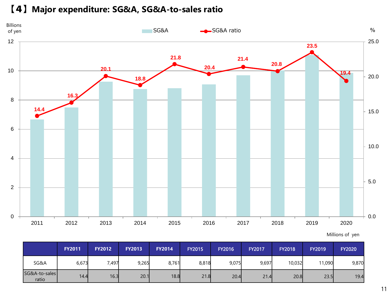#### 【4】**Major expenditure: SG&A, SG&A-to-sales ratio**



Millions of yen

|                        | <b>FY2011</b> | <b>FY2012</b> | <b>FY2013</b> | <b>FY2014</b> | <b>FY2015</b> | <b>FY2016</b> | FY2017 | <b>FY2018</b> | <b>FY2019</b> | <b>FY2020</b> |
|------------------------|---------------|---------------|---------------|---------------|---------------|---------------|--------|---------------|---------------|---------------|
| SG&A                   | 6,673         | 7,497         | 9,265         | 8,761         | 8,818         | 9,075         | 9,697  | 10,032        | 11,090        | 9,870         |
| SG&A-to-sales<br>ratio | 14.4          | 16.3          | 20.1          | 18.8          | 21.8          | 20.4          | 21.4   | 20.8          | 23.5          | 19.4          |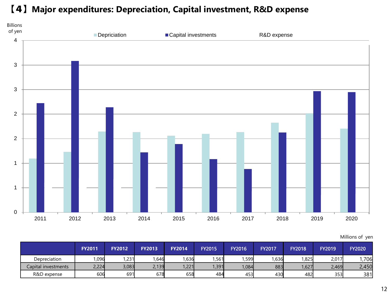#### 【4】**Major expenditures: Depreciation, Capital investment, R&D expense**



|                     | <b>FY2011</b> | <b>FY2012</b> | <b>FY2013</b> | <b>FY2014</b> | <b>FY2015</b> | <b>FY2016</b> | <b>FY2017</b> | <b>FY2018</b> | <b>FY2019</b> | <b>FY2020</b> |
|---------------------|---------------|---------------|---------------|---------------|---------------|---------------|---------------|---------------|---------------|---------------|
| Depreciation        | 1,096         | ,231          | ,646          | 1,636         | 1,561         | ,599          | 1.636         | ,825          | 2.017         | ,706          |
| Capital investments | 2,224         | 3,083         | 2,139         | 1,221         | 1,391         | 1,084         | 883           | ,627          | 2,469         | 2,450         |
| R&D expense         | 606           | 691           | 678           | 658           | 484           | 453           | 430           | 482l          | 353           | 381           |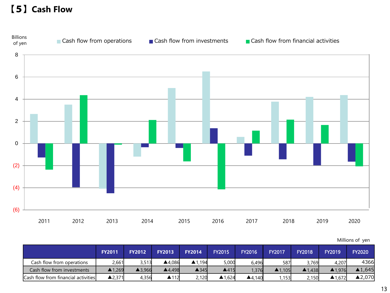### 【5】**Cash Flow**



|                                     | <b>FY2011</b>     | <b>FY2012</b>     | <b>FY2013</b>          | <b>FY2014</b>          | <b>FY2015</b> | <b>FY2016</b> | <b>FY2017</b>     | <b>FY2018</b>     | <b>FY2019</b>     | <b>FY2020</b> |
|-------------------------------------|-------------------|-------------------|------------------------|------------------------|---------------|---------------|-------------------|-------------------|-------------------|---------------|
| Cash flow from operations           | 2.661             | 3,513             | ▲4.086                 | $\blacktriangle$ 1.194 | 5,000         | 6.496         | 587               | 3,769             | 4,207             | 4366          |
| Cash flow from investments          | ▲1,269            | $\triangle$ 3.966 | $\blacktriangle$ 4,498 | $\triangle$ 345        | 4415          | .376          | $\triangle$ 1.105 | $\triangle$ 1.438 | $\triangle$ 1.976 | ▲1,645        |
| Cash flow from financial activities | $\triangle$ 2,371 | 4,356             | ▲112                   | 2,120                  | ▲1,624        | 4.140         | ,153              | 2,150             | ▲1.672            | ▲2,070        |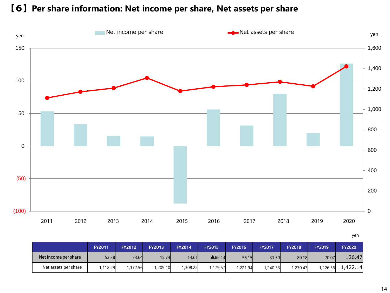#### 【6】**Per share information: Net income per share, Net assets per share**



|                      |               |               |               |               |               |               |               |               |               | ,             |
|----------------------|---------------|---------------|---------------|---------------|---------------|---------------|---------------|---------------|---------------|---------------|
|                      | <b>FY2011</b> | <b>FY2012</b> | <b>FY2013</b> | <b>FY2014</b> | <b>FY2015</b> | <b>FY2016</b> | <b>FY2017</b> | <b>FY2018</b> | <b>FY2019</b> | <b>FY2020</b> |
| Net income per share | 53.38         | 33.64         | 15.74         | 14.61         | ▲88.13        | 56.15         | 31.50         | 80.18         | 20.07         | 126.47        |
| Net assets per share | 1,112.29      | 1,172.56      | 1,209.10      | 1,308.22      | 1,179.57      | 1,221.94      | 1,240.33      | 1,270.43      | 1,226.56      | 1,422.14      |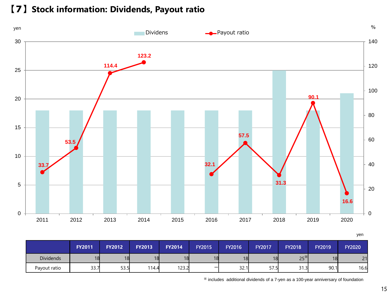#### 【7】**Stock information: Dividends, Payout ratio**



|                  |               |               |               |               |               |               |               |               |               | yen           |
|------------------|---------------|---------------|---------------|---------------|---------------|---------------|---------------|---------------|---------------|---------------|
|                  | <b>FY2011</b> | <b>FY2012</b> | <b>FY2013</b> | <b>FY2014</b> | <b>FY2015</b> | <b>FY2016</b> | <b>FY2017</b> | <b>FY2018</b> | <b>FY2019</b> | <b>FY2020</b> |
| <b>Dividends</b> | 18            | 18            | 18            | 18            | 18            | 18            | 18            | $25^*$        | 18            | 21            |
| Payout ratio     | 33.7          | 53.5          | 114.4         | 123.2         |               | 32.1          | 57.5          | 31.3          | 90.1          | 16.6          |

※ includes additional dividends of a 7-yen as a 100-year anniversary of foundation